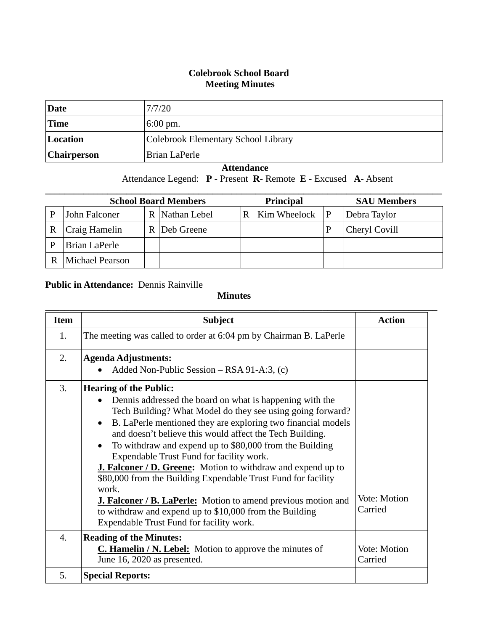### **Colebrook School Board Meeting Minutes**

| Date               | 7/7/20                              |
|--------------------|-------------------------------------|
| Time               | $6:00 \text{ pm}$ .                 |
| Location           | Colebrook Elementary School Library |
| <b>Chairperson</b> | Brian LaPerle                       |

### **Attendance**

Attendance Legend: **P** - Present **R**- Remote **E** - Excused **A**- Absent

| <b>School Board Members</b> |                 |  |                | <b>Principal</b> |              |   | <b>SAU Members</b> |
|-----------------------------|-----------------|--|----------------|------------------|--------------|---|--------------------|
| P                           | John Falconer   |  | R Nathan Lebel | R                | Kim Wheelock | P | Debra Taylor       |
| R                           | Craig Hamelin   |  | R   Deb Greene |                  |              |   | Cheryl Covill      |
| P                           | Brian LaPerle   |  |                |                  |              |   |                    |
|                             | Michael Pearson |  |                |                  |              |   |                    |

# **Public in Attendance:** Dennis Rainville

### **Minutes**

| <b>Item</b> | <b>Subject</b>                                                            | <b>Action</b> |
|-------------|---------------------------------------------------------------------------|---------------|
| 1.          | The meeting was called to order at 6:04 pm by Chairman B. LaPerle         |               |
|             |                                                                           |               |
| 2.          | <b>Agenda Adjustments:</b>                                                |               |
|             | Added Non-Public Session $-$ RSA 91-A:3, (c)                              |               |
| 3.          | <b>Hearing of the Public:</b>                                             |               |
|             | Dennis addressed the board on what is happening with the<br>$\bullet$     |               |
|             | Tech Building? What Model do they see using going forward?                |               |
|             | B. LaPerle mentioned they are exploring two financial models<br>$\bullet$ |               |
|             | and doesn't believe this would affect the Tech Building.                  |               |
|             | To withdraw and expend up to \$80,000 from the Building<br>$\bullet$      |               |
|             | Expendable Trust Fund for facility work.                                  |               |
|             | <b>J. Falconer / D. Greene:</b> Motion to withdraw and expend up to       |               |
|             | \$80,000 from the Building Expendable Trust Fund for facility             |               |
|             | work.                                                                     |               |
|             | <b>J. Falconer / B. LaPerle:</b> Motion to amend previous motion and      | Vote: Motion  |
|             | to withdraw and expend up to \$10,000 from the Building                   | Carried       |
|             | Expendable Trust Fund for facility work.                                  |               |
| 4.          | <b>Reading of the Minutes:</b>                                            |               |
|             | <b>C. Hamelin / N. Lebel:</b> Motion to approve the minutes of            | Vote: Motion  |
|             | June 16, 2020 as presented.                                               | Carried       |
| 5.          | <b>Special Reports:</b>                                                   |               |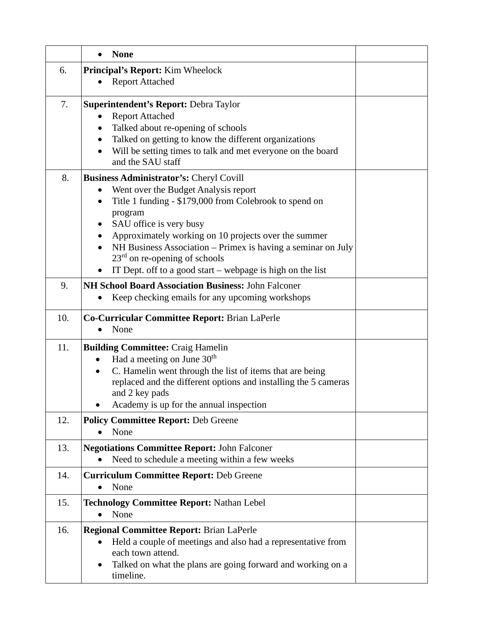|     | <b>None</b>                                                                      |  |
|-----|----------------------------------------------------------------------------------|--|
| 6.  | <b>Principal's Report:</b> Kim Wheelock                                          |  |
|     | <b>Report Attached</b>                                                           |  |
| 7.  | <b>Superintendent's Report: Debra Taylor</b>                                     |  |
|     | <b>Report Attached</b>                                                           |  |
|     | Talked about re-opening of schools                                               |  |
|     | Talked on getting to know the different organizations                            |  |
|     | Will be setting times to talk and met everyone on the board<br>and the SAU staff |  |
| 8.  | <b>Business Administrator's: Cheryl Covill</b>                                   |  |
|     | Went over the Budget Analysis report                                             |  |
|     | Title 1 funding - \$179,000 from Colebrook to spend on                           |  |
|     | program                                                                          |  |
|     | SAU office is very busy                                                          |  |
|     | Approximately working on 10 projects over the summer                             |  |
|     | NH Business Association – Primex is having a seminar on July                     |  |
|     | $23rd$ on re-opening of schools                                                  |  |
|     | IT Dept. off to a good start – webpage is high on the list                       |  |
| 9.  | NH School Board Association Business: John Falconer                              |  |
|     | Keep checking emails for any upcoming workshops<br>$\bullet$                     |  |
| 10. | Co-Curricular Committee Report: Brian LaPerle                                    |  |
|     | None                                                                             |  |
| 11. | <b>Building Committee: Craig Hamelin</b>                                         |  |
|     | Had a meeting on June 30 <sup>th</sup><br>$\bullet$                              |  |
|     | C. Hamelin went through the list of items that are being<br>٠                    |  |
|     | replaced and the different options and installing the 5 cameras                  |  |
|     | and 2 key pads                                                                   |  |
|     | Academy is up for the annual inspection                                          |  |
| 12. | <b>Policy Committee Report: Deb Greene</b>                                       |  |
|     | None                                                                             |  |
| 13. | <b>Negotiations Committee Report: John Falconer</b>                              |  |
|     | Need to schedule a meeting within a few weeks                                    |  |
| 14. | <b>Curriculum Committee Report: Deb Greene</b>                                   |  |
|     | None                                                                             |  |
| 15. | <b>Technology Committee Report: Nathan Lebel</b>                                 |  |
|     | None                                                                             |  |
| 16. | <b>Regional Committee Report: Brian LaPerle</b>                                  |  |
|     | Held a couple of meetings and also had a representative from                     |  |
|     | each town attend.                                                                |  |
|     | Talked on what the plans are going forward and working on a<br>$\bullet$         |  |
|     | timeline.                                                                        |  |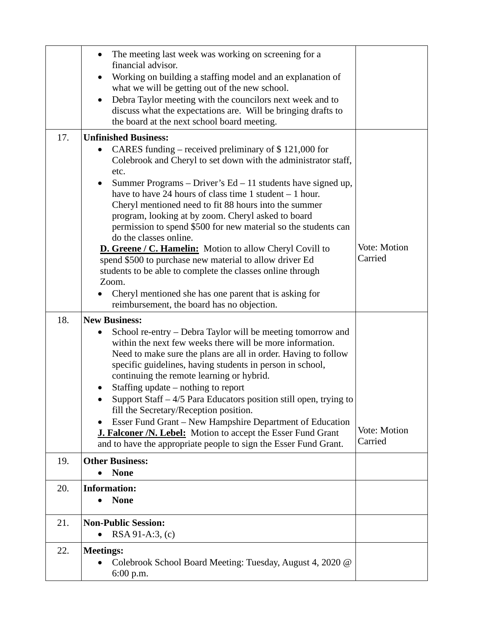|     | The meeting last week was working on screening for a<br>financial advisor.                                                            |              |
|-----|---------------------------------------------------------------------------------------------------------------------------------------|--------------|
|     | Working on building a staffing model and an explanation of                                                                            |              |
|     | what we will be getting out of the new school.                                                                                        |              |
|     | Debra Taylor meeting with the councilors next week and to                                                                             |              |
|     | discuss what the expectations are. Will be bringing drafts to                                                                         |              |
|     | the board at the next school board meeting.                                                                                           |              |
| 17. | <b>Unfinished Business:</b>                                                                                                           |              |
|     | CARES funding – received preliminary of $$121,000$ for<br>$\bullet$<br>Colebrook and Cheryl to set down with the administrator staff, |              |
|     | etc.                                                                                                                                  |              |
|     | Summer Programs – Driver's $Ed - 11$ students have signed up,<br>$\bullet$                                                            |              |
|     | have to have 24 hours of class time 1 student $-1$ hour.                                                                              |              |
|     | Cheryl mentioned need to fit 88 hours into the summer                                                                                 |              |
|     | program, looking at by zoom. Cheryl asked to board                                                                                    |              |
|     | permission to spend \$500 for new material so the students can<br>do the classes online.                                              |              |
|     | <b>D. Greene / C. Hamelin:</b> Motion to allow Cheryl Covill to                                                                       | Vote: Motion |
|     | spend \$500 to purchase new material to allow driver Ed                                                                               | Carried      |
|     | students to be able to complete the classes online through                                                                            |              |
|     | Zoom.                                                                                                                                 |              |
|     | Cheryl mentioned she has one parent that is asking for<br>reimbursement, the board has no objection.                                  |              |
|     |                                                                                                                                       |              |
| 18. | <b>New Business:</b>                                                                                                                  |              |
|     | School re-entry – Debra Taylor will be meeting tomorrow and<br>٠<br>within the next few weeks there will be more information.         |              |
|     | Need to make sure the plans are all in order. Having to follow                                                                        |              |
|     | specific guidelines, having students in person in school,                                                                             |              |
|     | continuing the remote learning or hybrid.                                                                                             |              |
|     | Staffing update $-$ nothing to report                                                                                                 |              |
|     | Support Staff - 4/5 Para Educators position still open, trying to<br>fill the Secretary/Reception position.                           |              |
|     | Esser Fund Grant - New Hampshire Department of Education<br>$\bullet$                                                                 |              |
|     | <b>J. Falconer /N. Lebel:</b> Motion to accept the Esser Fund Grant                                                                   | Vote: Motion |
|     | and to have the appropriate people to sign the Esser Fund Grant.                                                                      | Carried      |
| 19. | <b>Other Business:</b>                                                                                                                |              |
|     | <b>None</b>                                                                                                                           |              |
| 20. | <b>Information:</b>                                                                                                                   |              |
|     | <b>None</b>                                                                                                                           |              |
| 21. | <b>Non-Public Session:</b>                                                                                                            |              |
|     | $RSA 91-A:3$ , (c)                                                                                                                    |              |
| 22. |                                                                                                                                       |              |
|     | <b>Meetings:</b>                                                                                                                      |              |
|     | Colebrook School Board Meeting: Tuesday, August 4, 2020 @<br>$6:00$ p.m.                                                              |              |